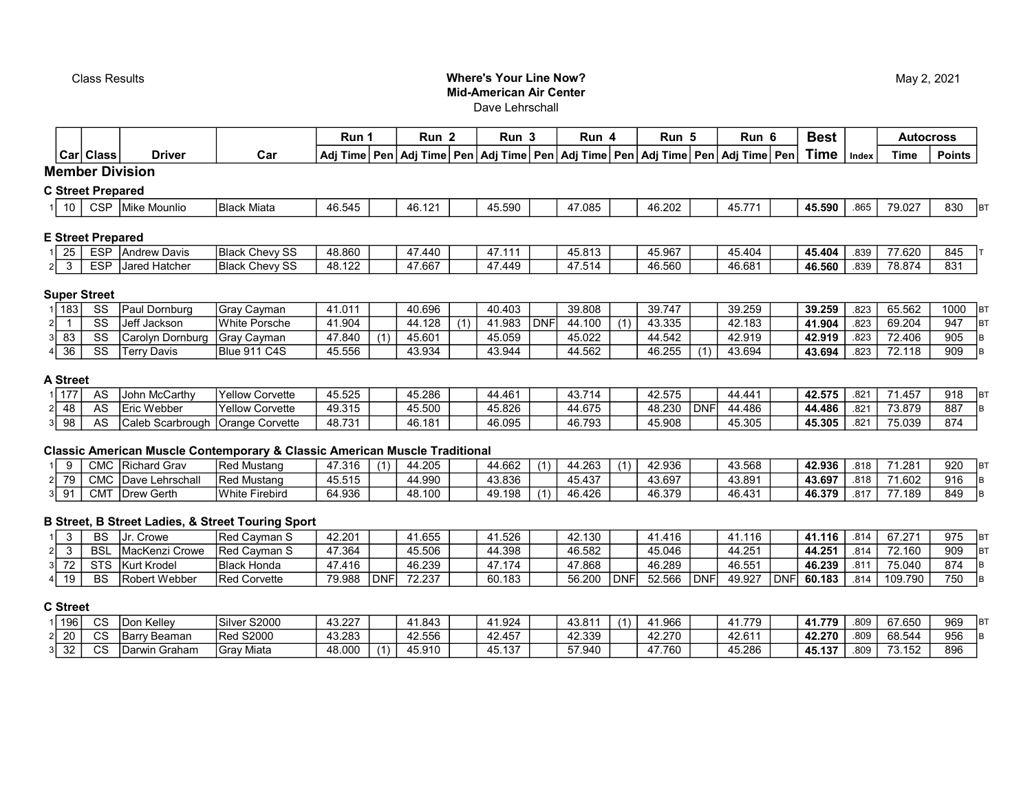## Class Results Where's Your Line Now? Mid-American Air Center Dave Lehrschall

|                 |                     |                                    |                        | Run 1  |     | Run <sub>2</sub> | Run 3  |            | Run 4  |     | Run 5  |            | Run 6                                                                                             | <b>Best</b> |       |             | <b>Autocross</b>  |
|-----------------|---------------------|------------------------------------|------------------------|--------|-----|------------------|--------|------------|--------|-----|--------|------------|---------------------------------------------------------------------------------------------------|-------------|-------|-------------|-------------------|
|                 | Car Class           | <b>Driver</b>                      | Car                    |        |     |                  |        |            |        |     |        |            | Adj Time Pen   Adj Time   Pen   Adj Time   Pen   Adj Time   Pen   Adj Time   Pen   Adj Time   Pen | Time        | Index | <b>Time</b> | <b>Points</b>     |
|                 |                     | <b>Member Division</b>             |                        |        |     |                  |        |            |        |     |        |            |                                                                                                   |             |       |             |                   |
|                 |                     | <b>C Street Prepared</b>           |                        |        |     |                  |        |            |        |     |        |            |                                                                                                   |             |       |             |                   |
| 10 <sup>1</sup> | <b>CSP</b>          | Mike Mounlio                       | <b>Black Miata</b>     | 46.545 |     | 46.121           | 45.590 |            | 47.085 |     | 46.202 |            | 45.771                                                                                            | 45.590      | .865  | 79.027      | 830<br><b>B</b>   |
|                 |                     | <b>E Street Prepared</b>           |                        |        |     |                  |        |            |        |     |        |            |                                                                                                   |             |       |             |                   |
| 25              | <b>ESP</b>          | <b>Andrew Davis</b>                | <b>Black Chevy SS</b>  | 48.860 |     | 47.440           | 47.111 |            | 45.813 |     | 45.967 |            | 45.404                                                                                            | 45.404      | .839  | 77.620      | 845               |
| $2 \mid 3$      | <b>ESP</b>          | <b>Jared Hatcher</b>               | <b>Black Chevy SS</b>  | 48.122 |     | 47.667           | 47.449 |            | 47.514 |     | 46.560 |            | 46.681                                                                                            | 46.560      | .839  | 78.874      | 831               |
|                 | <b>Super Street</b> |                                    |                        |        |     |                  |        |            |        |     |        |            |                                                                                                   |             |       |             |                   |
| 1  183          | SS                  | Paul Dornburg                      | <b>Gray Cayman</b>     | 41.011 |     | 40.696           | 40.403 |            | 39.808 |     | 39.747 |            | 39.259                                                                                            | 39.259      | .823  | 65.562      | 1000<br><b>BT</b> |
| 21              | SS                  | Jeff Jackson                       | <b>White Porsche</b>   | 41.904 |     | 44.128           | 41.983 | <b>DNF</b> | 44.100 | (1) | 43.335 |            | 42.183                                                                                            | 41.904      | .823  | 69.204      | 947<br><b>B</b>   |
| 83<br>31        | SS                  | Carolyn Dornburg                   | Gray Cayman            | 47.840 | (1) | 45.601           | 45.059 |            | 45.022 |     | 44.542 |            | 42.919                                                                                            | 42.919      | .823  | 72.406      | 905               |
| 36<br>41        | SS                  | Terry Davis                        | <b>Blue 911 C4S</b>    | 45.556 |     | 43.934           | 43.944 |            | 44.562 |     | 46.255 |            | 43.694                                                                                            | 43.694      | .823  | 72.118      | 909<br>ΙB         |
| A Street        |                     |                                    |                        |        |     |                  |        |            |        |     |        |            |                                                                                                   |             |       |             |                   |
| 1   177         | AS                  | John McCarthy                      | <b>Yellow Corvette</b> | 45.525 |     | 45.286           | 44.461 |            | 43.714 |     | 42.575 |            | 44.441                                                                                            | 42.575      | .821  | 71.457      | 918<br><b>B</b>   |
| 48<br>21        | AS                  | <b>Eric Webber</b>                 | <b>Yellow Corvette</b> | 49.315 |     | 45.500           | 45.826 |            | 44.675 |     | 48.230 | <b>DNF</b> | 44.486                                                                                            | 44.486      | .821  | 73.879      | 887<br>IB         |
| 98<br>31        | AS                  | Caleb Scarbrough   Orange Corvette |                        | 48.731 |     | 46.181           | 46.095 |            | 46.793 |     | 45.908 |            | 45.305                                                                                            | 45.305      | .821  | 75.039      | 874               |

# Classic American Muscle Contemporary & Classic American Muscle Traditional

|      | <b>CMC</b> | <b>Richard Grav</b> | <b>Red Mustang</b>  | 47.316 | 44.205 | 44.662 | 44.263          | (1) | 42.936 | 43.568 | 42.936 | .818 | 1.281  | 920 | <b>B</b> |
|------|------------|---------------------|---------------------|--------|--------|--------|-----------------|-----|--------|--------|--------|------|--------|-----|----------|
| 2 79 | <b>CMC</b> | Lehrschall<br>Dave  | lRed Mι<br>/lustanɑ | 45.515 | 44.990 | 43.836 | 15137<br>45.431 |     | 43.697 | 43.891 | 43.697 | .818 | 1.602  | 916 | IВ       |
|      | CMT        | Gerth<br>Drew       | White Firebird      | 64.936 | 48.100 | 49.198 | 46.426          |     | 46.379 | 46.431 | 46.379 | .817 | 77.189 | 849 | IB.      |

#### B Street, B Street Ladies, & Street Touring Sport

|             | BS         | Crowe           | IRed Cavman S        | 42.201 |            | $-1.655$ | 41.526 | 42.130 |            | 11.416 |            | 116<br>-41. |     | 41.116 | .814             | $67.27^{\circ}$ | 975 | IB <sub>1</sub> |
|-------------|------------|-----------------|----------------------|--------|------------|----------|--------|--------|------------|--------|------------|-------------|-----|--------|------------------|-----------------|-----|-----------------|
|             | <b>BSL</b> | IMacKenzi Crowe | <b>IRed Cavman S</b> | 47.364 |            | 45.506   | 44.398 | 46.582 |            | 45.046 |            | 44.251      |     | 44.251 | .814             | 72.160          | 909 | <b>B</b> T      |
| 70<br>31 72 | <b>STS</b> | Kurt Krodel     | IBlack Honda         | 47.416 |            | 46.239   | 47.174 | 47.868 |            | 46.289 |            | 46.551      |     | 46.239 | .81 <sup>·</sup> | 75.040          | 874 | <b>IB</b>       |
| 4   19      | <b>BS</b>  | Robert Webber   | <b>Red Corvette</b>  | 79.988 | <b>DNF</b> | 72.237   | 60.183 | 56.200 | <b>DNF</b> | 52.566 | <b>DNF</b> | 49.927      | DNF | 60.183 | .814             | 109.790         | 750 | IВ              |

## C Street

| 196           | $\sim$<br>UC | Kellev<br>TDon     | Silver S2000         | 43.227 | 1.843           | 1.924                        | 10011<br>: ٥.٥. | $\lambda$ | 1.966           | 779<br>- 41  | 41.779<br>. | .809 | 37.650 | 969 | IB <sub>1</sub> |
|---------------|--------------|--------------------|----------------------|--------|-----------------|------------------------------|-----------------|-----------|-----------------|--------------|-------------|------|--------|-----|-----------------|
| 20            | $\sim$<br>UC | Barry<br>Beamar    | <b>S2000</b><br>'Rea | 43.283 | 10EFC<br>42.55t | 42.457                       | 42.339          |           | 42.270<br>74.LI | <b>42611</b> | 42.270      | .809 | 68.544 | 956 | IB.             |
| $\sim$<br>ے ت | $\sim$       | ⊦Graham<br>Darwin. | <b>Gray Miata</b>    | 48.000 | 45.910          | $\sqrt{2}$<br>45<br>$+0.137$ | 57.940          |           | 47.760          | 45.286       | 45.137      | .809 | 73.152 | 896 |                 |

# May 2, 2021